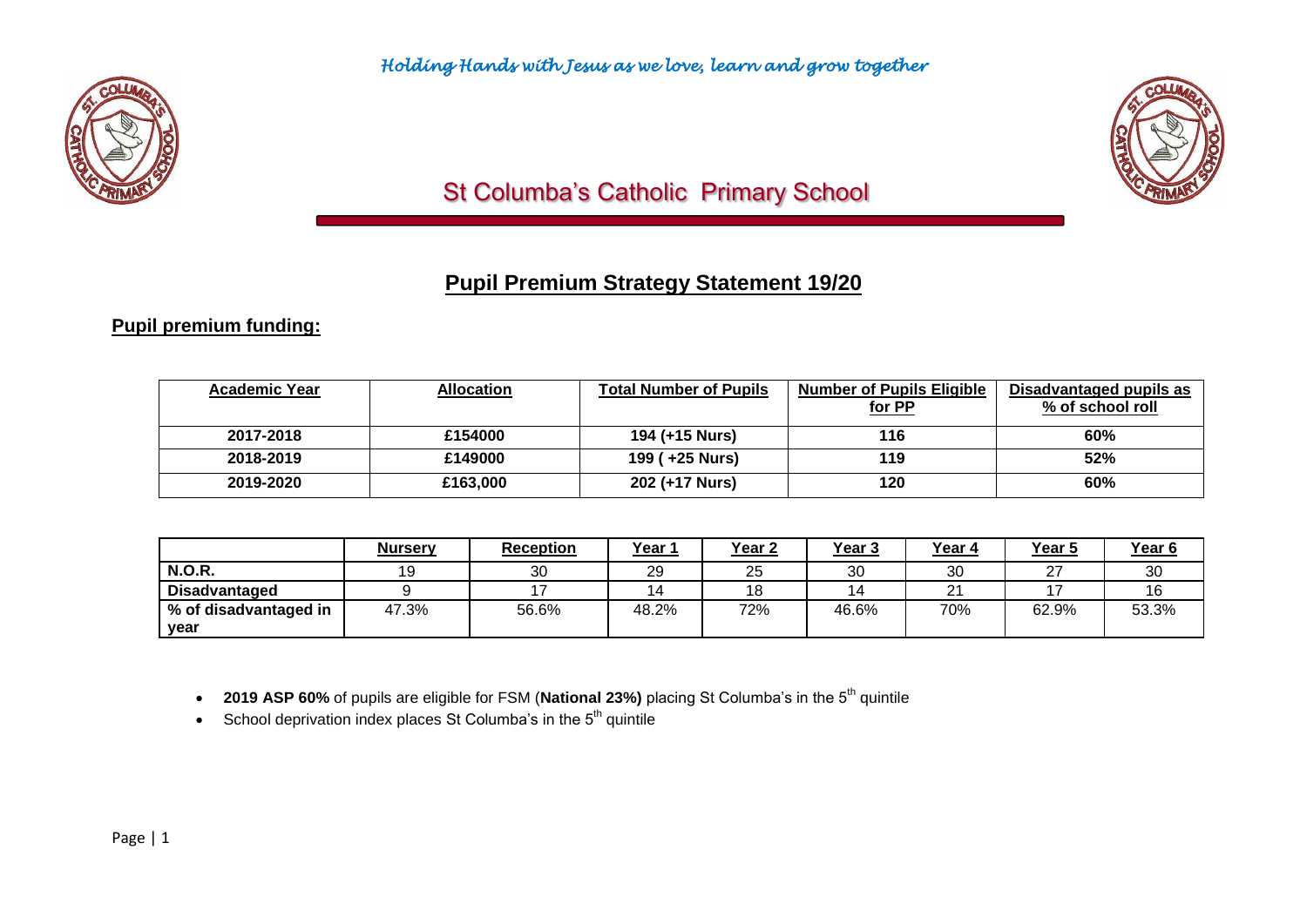



# St Columba's Catholic Primary School

# **Pupil Premium Strategy Statement 19/20**

### **Pupil premium funding:**

| <b>Academic Year</b> | Allocation | <b>Total Number of Pupils</b> | <b>Number of Pupils Eligible</b><br>for PP | Disadvantaged pupils as<br>% of school roll |
|----------------------|------------|-------------------------------|--------------------------------------------|---------------------------------------------|
| 2017-2018            | £154000    | 194 (+15 Nurs)                | 116                                        | 60%                                         |
| 2018-2019            | £149000    | 199 ( +25 Nurs)               | 119                                        | 52%                                         |
| 2019-2020            | £163,000   | 202 (+17 Nurs)                | 120                                        | 60%                                         |

|                       | <b>Nursery</b> | <b>Reception</b> | <u>Year 1</u> | Year <sub>2</sub> | <u>Year 3</u> | Year 4 | Year 5 | Year <sub>6</sub> |
|-----------------------|----------------|------------------|---------------|-------------------|---------------|--------|--------|-------------------|
| <b>N.O.R.</b>         |                | 30               | 29            | 25                | 30            | 30     | ົ      | 30                |
| <b>Disadvantaged</b>  |                |                  | 14            |                   |               | ິ      |        |                   |
| % of disadvantaged in | 47.3%          | 56.6%            | 48.2%         | 72%               | 46.6%         | 70%    | 62.9%  | 53.3%             |
| year                  |                |                  |               |                   |               |        |        |                   |

• 2019 ASP 60% of pupils are eligible for FSM (National 23%) placing St Columba's in the 5<sup>th</sup> quintile

 $\bullet$  School deprivation index places St Columba's in the  $5<sup>th</sup>$  quintile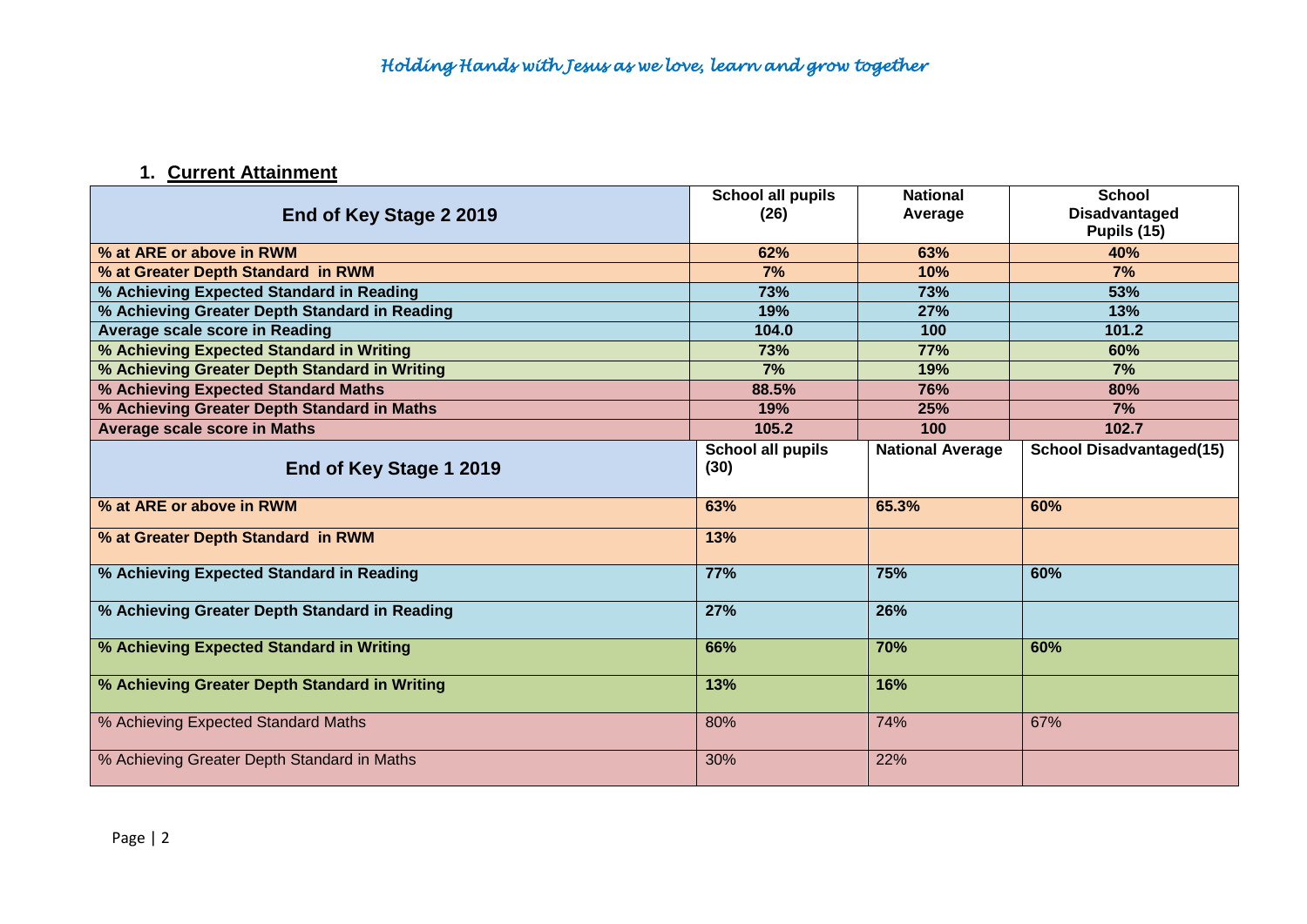## **1. Current Attainment**

|                                               | <b>School all pupils</b> | <b>National</b>         | <b>School</b>                   |
|-----------------------------------------------|--------------------------|-------------------------|---------------------------------|
| End of Key Stage 2 2019                       | (26)                     | Average                 | Disadvantaged                   |
|                                               |                          |                         | Pupils (15)                     |
| % at ARE or above in RWM                      | 62%                      | 63%                     | 40%                             |
| % at Greater Depth Standard in RWM            | 7%                       | 10%                     | 7%                              |
| % Achieving Expected Standard in Reading      | 73%                      | 73%                     | 53%                             |
| % Achieving Greater Depth Standard in Reading | 19%                      | 27%                     | 13%                             |
| Average scale score in Reading                | 104.0                    | 100                     | 101.2                           |
| % Achieving Expected Standard in Writing      | 73%                      | <b>77%</b>              | 60%                             |
| % Achieving Greater Depth Standard in Writing | 7%                       | 19%                     | 7%                              |
| % Achieving Expected Standard Maths           | 88.5%                    | 76%                     | 80%                             |
| % Achieving Greater Depth Standard in Maths   | 19%                      | 25%                     | 7%                              |
| <b>Average scale score in Maths</b>           | 105.2                    | 100                     | 102.7                           |
|                                               | School all pupils        | <b>National Average</b> | <b>School Disadvantaged(15)</b> |
| End of Key Stage 1 2019                       | (30)                     |                         |                                 |
|                                               |                          |                         |                                 |
| % at ARE or above in RWM                      | 63%                      | 65.3%                   | 60%                             |
| % at Greater Depth Standard in RWM            | 13%                      |                         |                                 |
|                                               |                          |                         |                                 |
| % Achieving Expected Standard in Reading      | 77%                      | 75%                     | 60%                             |
| % Achieving Greater Depth Standard in Reading | 27%                      | 26%                     |                                 |
|                                               |                          |                         |                                 |
| % Achieving Expected Standard in Writing      | 66%                      | 70%                     | 60%                             |
| % Achieving Greater Depth Standard in Writing | 13%                      | 16%                     |                                 |
|                                               |                          |                         |                                 |
| % Achieving Expected Standard Maths           | 80%                      | 74%                     | 67%                             |
| % Achieving Greater Depth Standard in Maths   | 30%                      | 22%                     |                                 |
|                                               |                          |                         |                                 |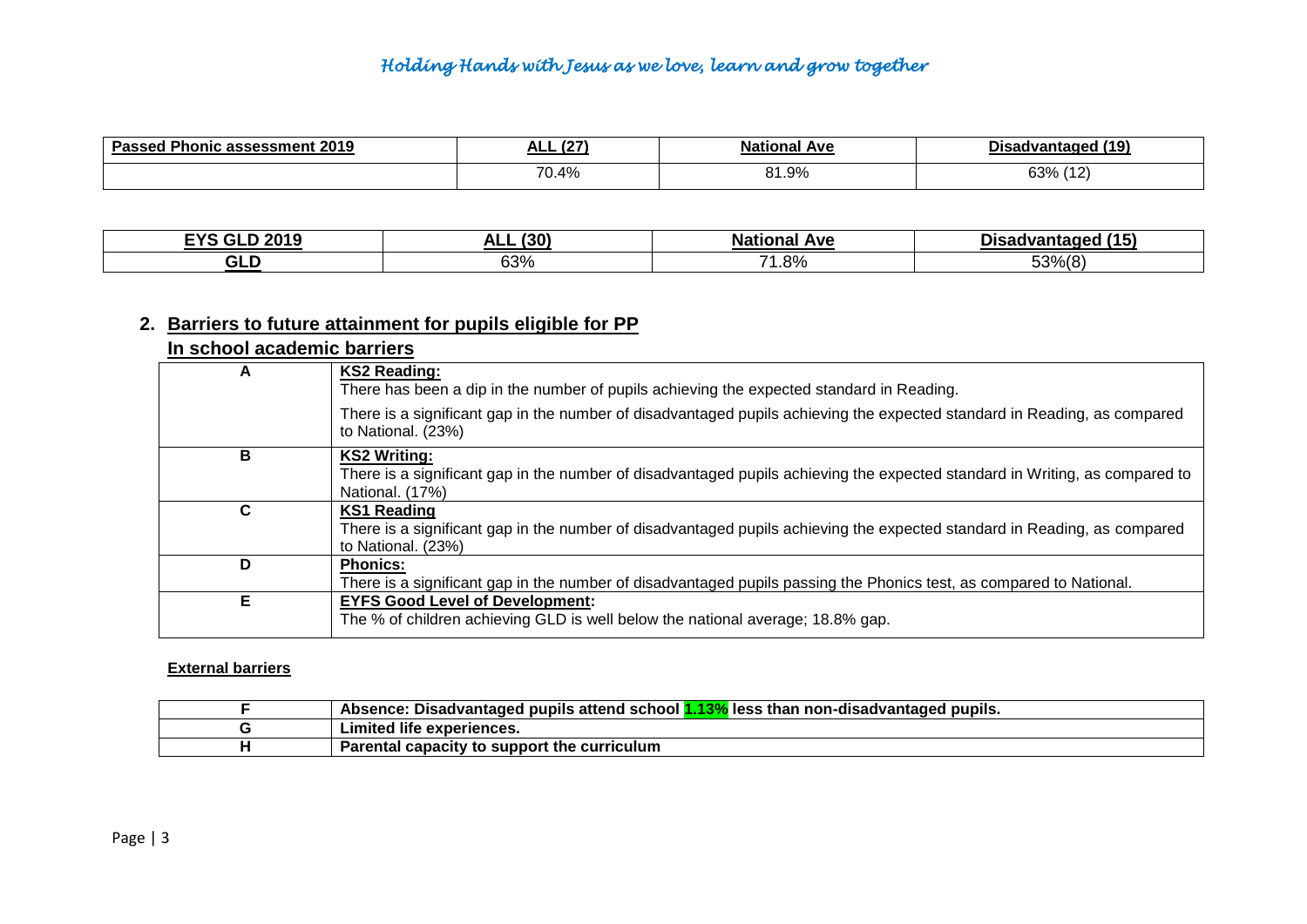| 2019<br>Doc<br>Phonic .<br>∶assessment | $\sim$<br>–™                | ıonal<br>Ave          | /1۵<br>Dis:<br>$\cdots$<br>1 J A L<br>. |
|----------------------------------------|-----------------------------|-----------------------|-----------------------------------------|
|                                        | $\Delta$ <sup>o</sup><br>70 | .9%<br>O <sub>4</sub> | $\sim$<br>220/                          |

| $C1$ D $2040$<br>$\neg$ vo $\cdot$ | (30)<br>п. | <b>Ave</b><br>Nai<br>. . | $\mathbf{A}$<br>$^{\prime}$ 15.<br>JISA<br>adec |
|------------------------------------|------------|--------------------------|-------------------------------------------------|
| -<br>ull                           | 63%        | $\rightarrow$<br>.8%     | 53% (8)                                         |

### **2. Barriers to future attainment for pupils eligible for PP**

#### **In school academic barriers**

| А | <b>KS2 Reading:</b><br>There has been a dip in the number of pupils achieving the expected standard in Reading.<br>There is a significant gap in the number of disadvantaged pupils achieving the expected standard in Reading, as compared<br>to National. (23%) |
|---|-------------------------------------------------------------------------------------------------------------------------------------------------------------------------------------------------------------------------------------------------------------------|
| в | <b>KS2 Writing:</b><br>There is a significant gap in the number of disadvantaged pupils achieving the expected standard in Writing, as compared to<br>National. (17%)                                                                                             |
| C | KS1 Reading<br>There is a significant gap in the number of disadvantaged pupils achieving the expected standard in Reading, as compared<br>to National. (23%)                                                                                                     |
| D | <b>Phonics:</b><br>There is a significant gap in the number of disadvantaged pupils passing the Phonics test, as compared to National.                                                                                                                            |
| Е | <b>EYFS Good Level of Development:</b><br>The % of children achieving GLD is well below the national average; 18.8% gap.                                                                                                                                          |

#### **External barriers**

| d pupils attend school 1.13%.<br>s than non-disadvantaɑed pupils.<br>, less<br>Absence: Disadvantaged |
|-------------------------------------------------------------------------------------------------------|
| Limited life experiences.                                                                             |
| Parental capacity to support the curriculum                                                           |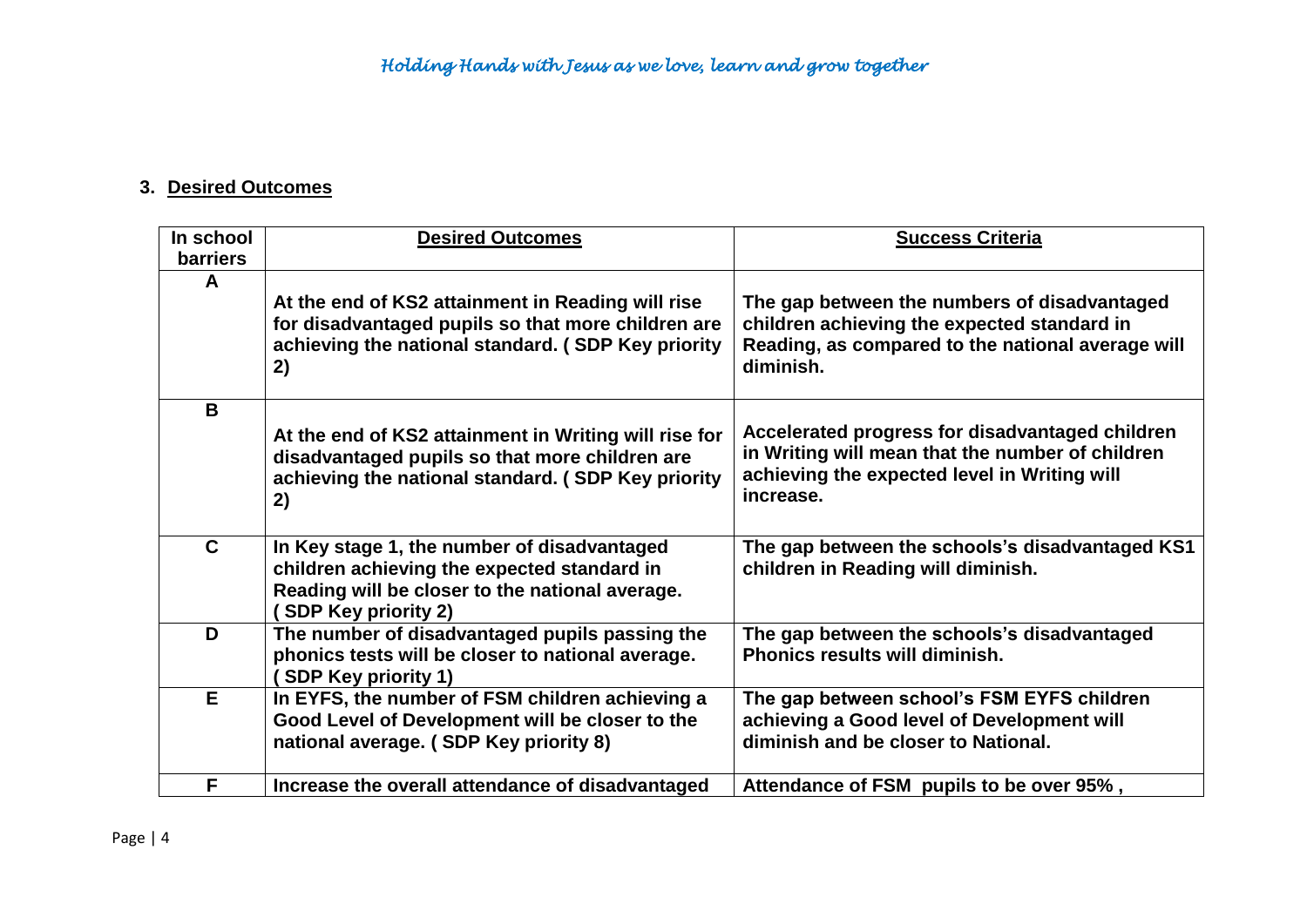### **3. Desired Outcomes**

| In school       | <b>Desired Outcomes</b>                                                                                                                                                     | <b>Success Criteria</b>                                                                                                                                          |
|-----------------|-----------------------------------------------------------------------------------------------------------------------------------------------------------------------------|------------------------------------------------------------------------------------------------------------------------------------------------------------------|
| <b>barriers</b> |                                                                                                                                                                             |                                                                                                                                                                  |
| A               |                                                                                                                                                                             |                                                                                                                                                                  |
|                 | At the end of KS2 attainment in Reading will rise                                                                                                                           | The gap between the numbers of disadvantaged                                                                                                                     |
|                 | for disadvantaged pupils so that more children are                                                                                                                          | children achieving the expected standard in                                                                                                                      |
|                 | achieving the national standard. (SDP Key priority<br>2)                                                                                                                    | Reading, as compared to the national average will<br>diminish.                                                                                                   |
|                 |                                                                                                                                                                             |                                                                                                                                                                  |
| B               |                                                                                                                                                                             |                                                                                                                                                                  |
|                 | At the end of KS2 attainment in Writing will rise for<br>disadvantaged pupils so that more children are<br>achieving the national standard. (SDP Key priority<br>2)         | Accelerated progress for disadvantaged children<br>in Writing will mean that the number of children<br>achieving the expected level in Writing will<br>increase. |
|                 |                                                                                                                                                                             |                                                                                                                                                                  |
| $\mathbf{C}$    | In Key stage 1, the number of disadvantaged<br>children achieving the expected standard in<br>Reading will be closer to the national average.<br><b>SDP Key priority 2)</b> | The gap between the schools's disadvantaged KS1<br>children in Reading will diminish.                                                                            |
| D               | The number of disadvantaged pupils passing the<br>phonics tests will be closer to national average.<br><b>SDP Key priority 1)</b>                                           | The gap between the schools's disadvantaged<br><b>Phonics results will diminish.</b>                                                                             |
| E               | In EYFS, the number of FSM children achieving a                                                                                                                             | The gap between school's FSM EYFS children                                                                                                                       |
|                 | Good Level of Development will be closer to the                                                                                                                             | achieving a Good level of Development will                                                                                                                       |
|                 | national average. (SDP Key priority 8)                                                                                                                                      | diminish and be closer to National.                                                                                                                              |
| F               | Increase the overall attendance of disadvantaged                                                                                                                            | Attendance of FSM pupils to be over 95%,                                                                                                                         |
|                 |                                                                                                                                                                             |                                                                                                                                                                  |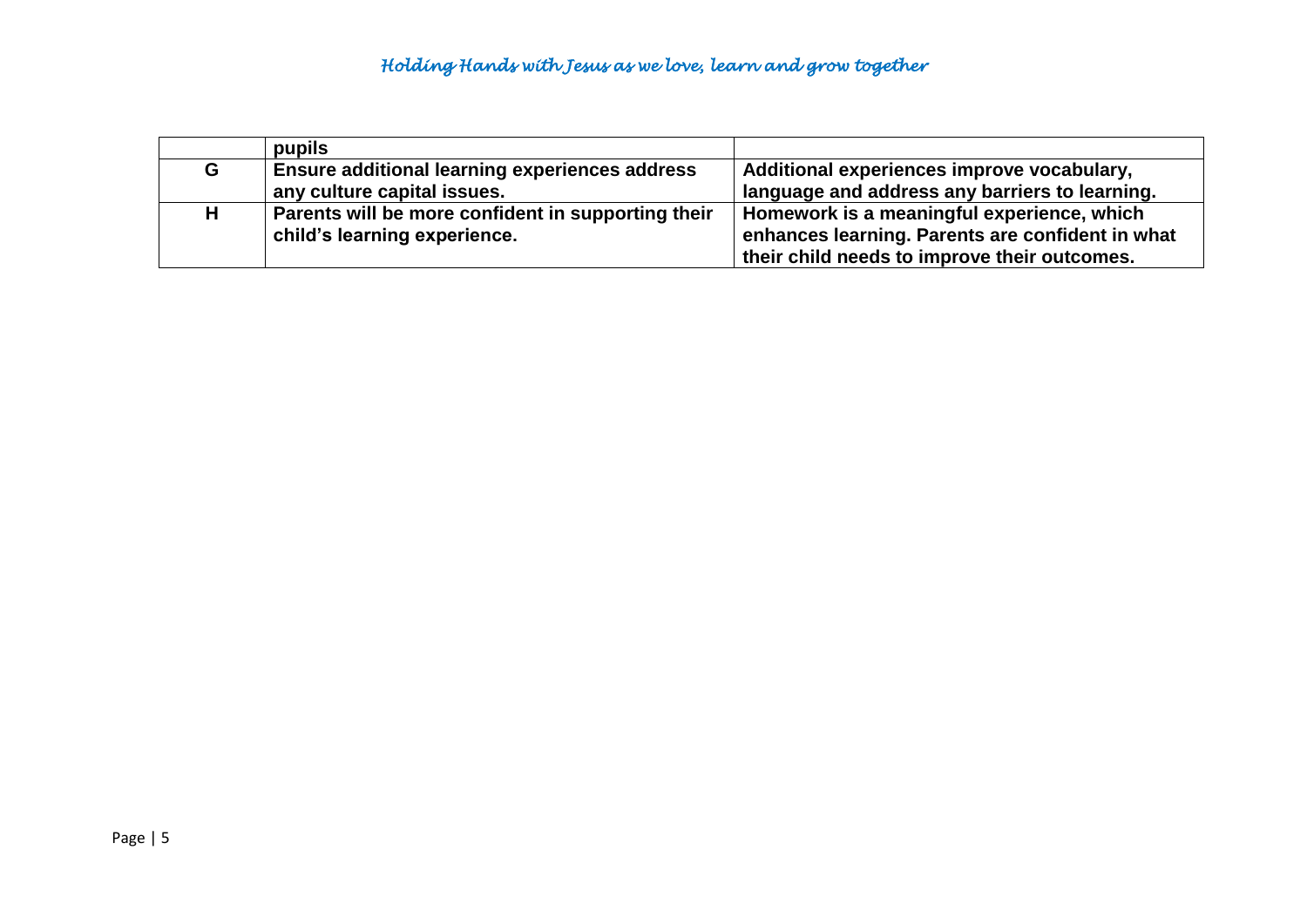|    | pupils                                                |                                                  |
|----|-------------------------------------------------------|--------------------------------------------------|
| G  | <b>Ensure additional learning experiences address</b> | Additional experiences improve vocabulary,       |
|    | any culture capital issues.                           | language and address any barriers to learning.   |
| H. | Parents will be more confident in supporting their    | Homework is a meaningful experience, which       |
|    | child's learning experience.                          | enhances learning. Parents are confident in what |
|    |                                                       | their child needs to improve their outcomes.     |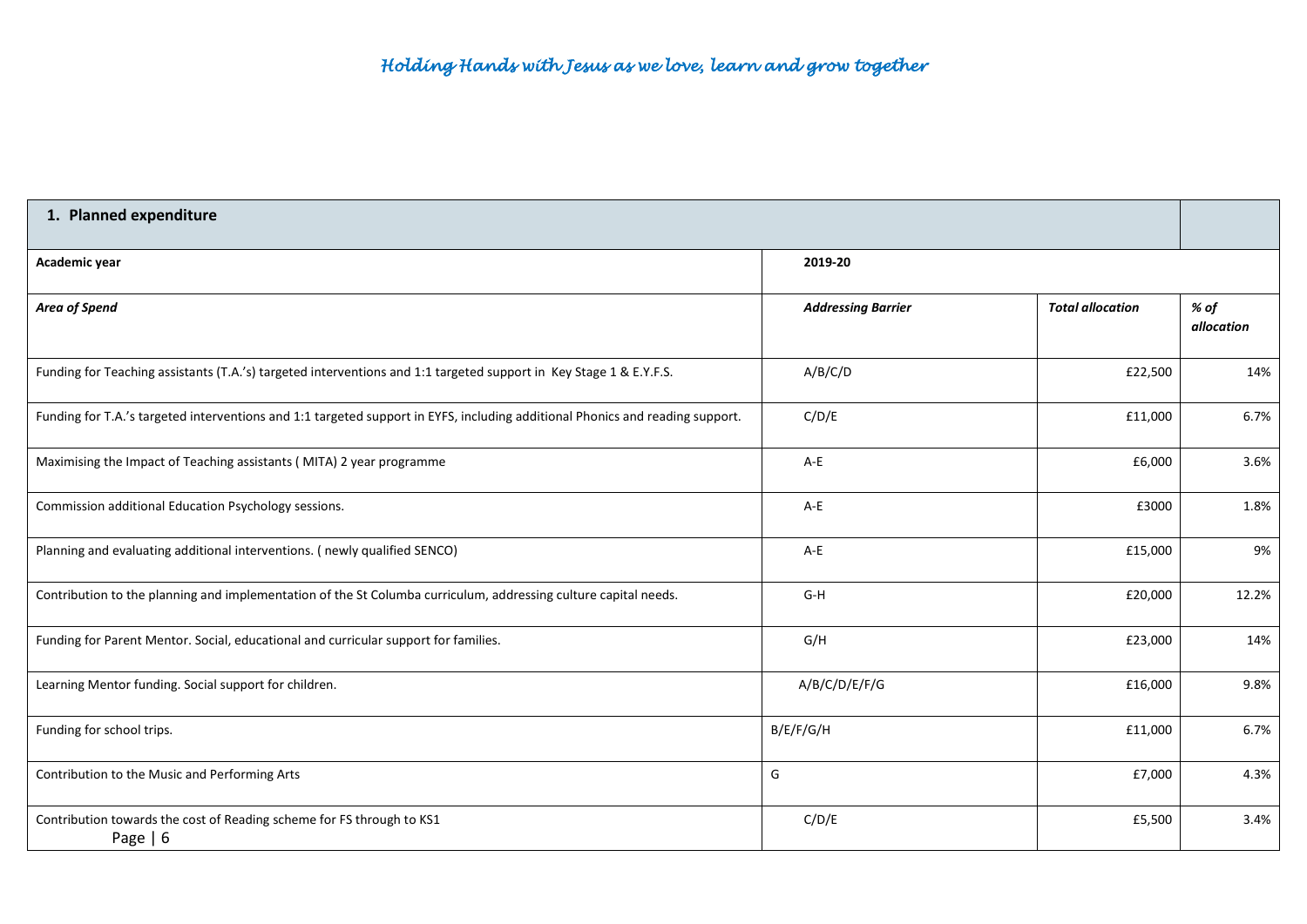| 1. Planned expenditure                                                                                                        |                           |                         |                    |  |
|-------------------------------------------------------------------------------------------------------------------------------|---------------------------|-------------------------|--------------------|--|
| Academic year                                                                                                                 | 2019-20                   |                         |                    |  |
| Area of Spend                                                                                                                 | <b>Addressing Barrier</b> | <b>Total allocation</b> | % of<br>allocation |  |
| Funding for Teaching assistants (T.A.'s) targeted interventions and 1:1 targeted support in Key Stage 1 & E.Y.F.S.            | A/B/C/D                   | £22,500                 | 14%                |  |
| Funding for T.A.'s targeted interventions and 1:1 targeted support in EYFS, including additional Phonics and reading support. | C/D/E                     | £11,000                 | 6.7%               |  |
| Maximising the Impact of Teaching assistants (MITA) 2 year programme                                                          | $A-E$                     | £6,000                  | 3.6%               |  |
| Commission additional Education Psychology sessions.                                                                          | $A-E$                     | £3000                   | 1.8%               |  |
| Planning and evaluating additional interventions. (newly qualified SENCO)                                                     | $A-E$                     | £15,000                 | 9%                 |  |
| Contribution to the planning and implementation of the St Columba curriculum, addressing culture capital needs.               | $G-H$                     | £20,000                 | 12.2%              |  |
| Funding for Parent Mentor. Social, educational and curricular support for families.                                           | G/H                       | £23,000                 | 14%                |  |
| Learning Mentor funding. Social support for children.                                                                         | A/B/C/D/E/F/G             | £16,000                 | 9.8%               |  |
| Funding for school trips.                                                                                                     | B/E/F/G/H                 | £11,000                 | 6.7%               |  |
| Contribution to the Music and Performing Arts                                                                                 | G                         | £7,000                  | 4.3%               |  |
| Contribution towards the cost of Reading scheme for FS through to KS1<br>Page $  6$                                           | C/D/E                     | £5,500                  | 3.4%               |  |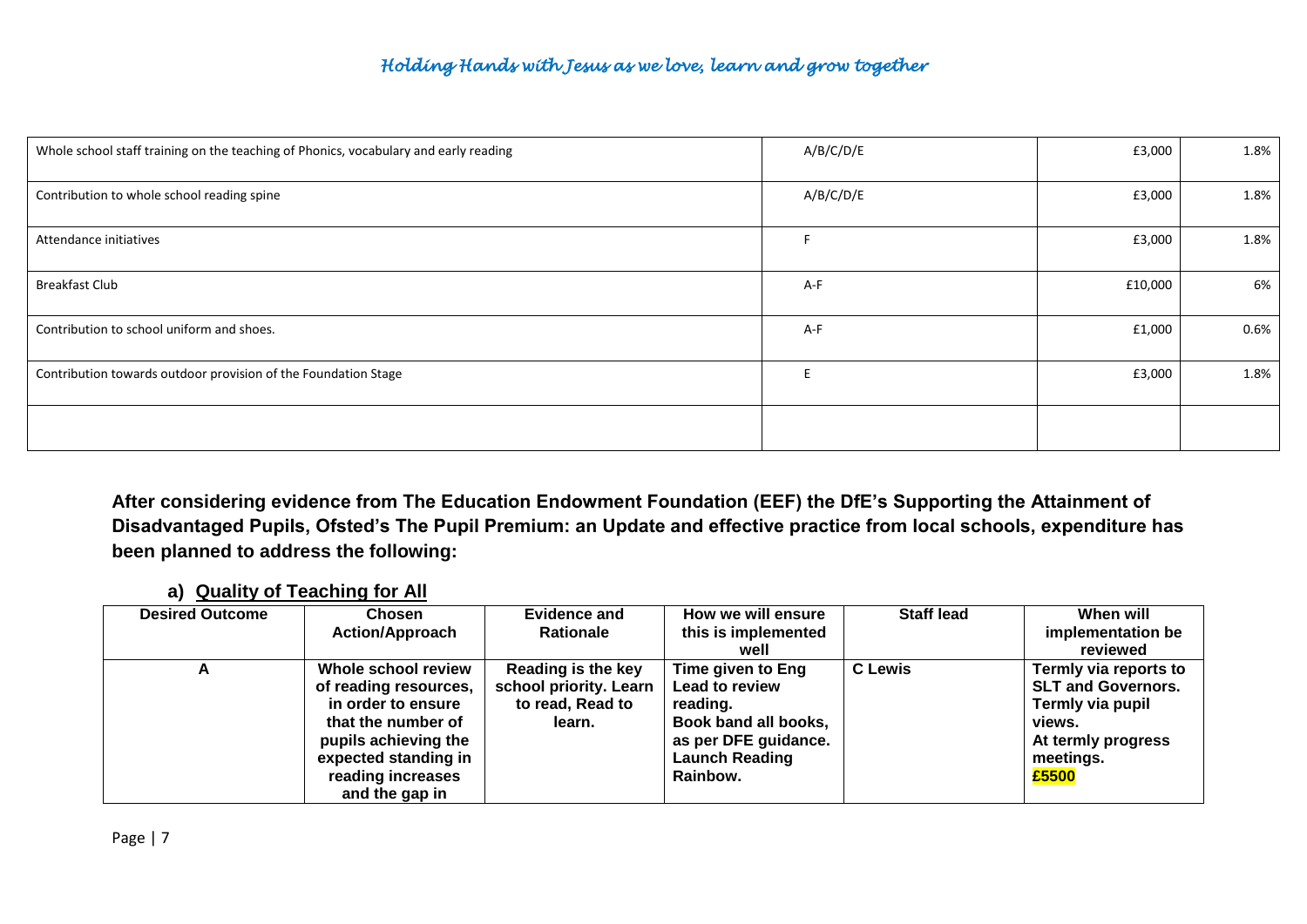| Whole school staff training on the teaching of Phonics, vocabulary and early reading | A/B/C/D/E | £3,000  | 1.8%    |
|--------------------------------------------------------------------------------------|-----------|---------|---------|
| Contribution to whole school reading spine                                           | A/B/C/D/E | £3,000  | 1.8%    |
| Attendance initiatives                                                               |           | £3,000  | 1.8%    |
| <b>Breakfast Club</b>                                                                | A-F       | £10,000 | 6%      |
| Contribution to school uniform and shoes.                                            | A-F       | £1,000  | $0.6\%$ |
| Contribution towards outdoor provision of the Foundation Stage                       | E         | £3,000  | 1.8%    |
|                                                                                      |           |         |         |

**After considering evidence from The Education Endowment Foundation (EEF) the DfE's Supporting the Attainment of Disadvantaged Pupils, Ofsted's The Pupil Premium: an Update and effective practice from local schools, expenditure has been planned to address the following:**

#### **a) Quality of Teaching for All**

| <b>Desired Outcome</b> | Chosen                 | <b>Evidence and</b>    | How we will ensure    | <b>Staff lead</b> | When will                 |
|------------------------|------------------------|------------------------|-----------------------|-------------------|---------------------------|
|                        | <b>Action/Approach</b> | <b>Rationale</b>       | this is implemented   |                   | implementation be         |
|                        |                        |                        | well                  |                   | reviewed                  |
|                        | Whole school review    | Reading is the key     | Time given to Eng     | <b>C</b> Lewis    | Termly via reports to     |
|                        | of reading resources,  | school priority. Learn | Lead to review        |                   | <b>SLT and Governors.</b> |
|                        | in order to ensure     | to read, Read to       | reading.              |                   | Termly via pupil          |
|                        | that the number of     | learn.                 | Book band all books,  |                   | views.                    |
|                        | pupils achieving the   |                        | as per DFE guidance.  |                   | At termly progress        |
|                        | expected standing in   |                        | <b>Launch Reading</b> |                   | meetings.                 |
|                        | reading increases      |                        | Rainbow.              |                   | £5500                     |
|                        | and the gap in         |                        |                       |                   |                           |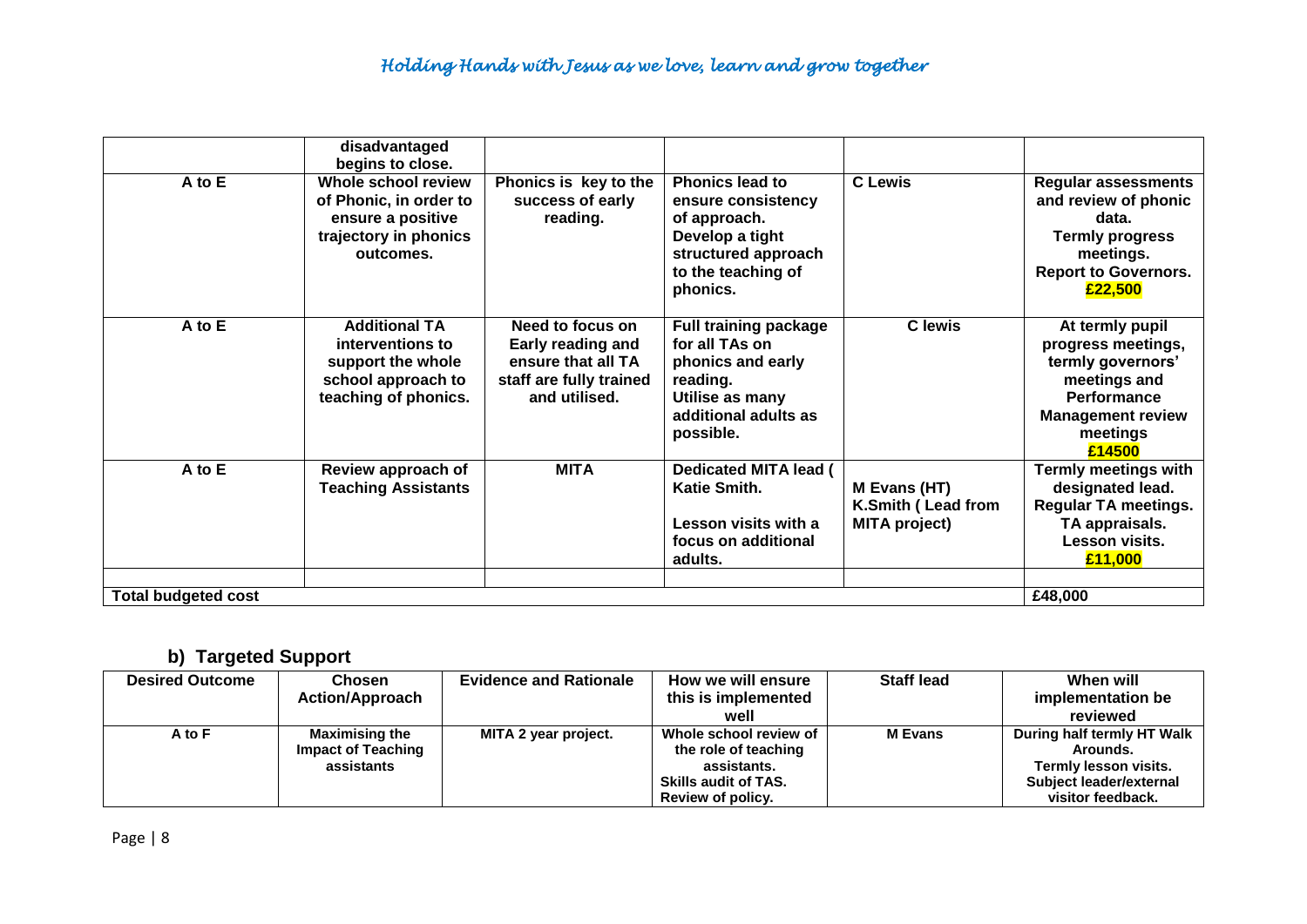|                            | disadvantaged<br>begins to close.                                                                           |                                                                                                         |                                                                                                                                          |                                                            |                                                                                                                                                    |
|----------------------------|-------------------------------------------------------------------------------------------------------------|---------------------------------------------------------------------------------------------------------|------------------------------------------------------------------------------------------------------------------------------------------|------------------------------------------------------------|----------------------------------------------------------------------------------------------------------------------------------------------------|
| A to E                     | Whole school review<br>of Phonic, in order to<br>ensure a positive<br>trajectory in phonics<br>outcomes.    | Phonics is key to the<br>success of early<br>reading.                                                   | <b>Phonics lead to</b><br>ensure consistency<br>of approach.<br>Develop a tight<br>structured approach<br>to the teaching of<br>phonics. | <b>C</b> Lewis                                             | <b>Regular assessments</b><br>and review of phonic<br>data.<br><b>Termly progress</b><br>meetings.<br><b>Report to Governors.</b><br>£22,500       |
| A to E                     | <b>Additional TA</b><br>interventions to<br>support the whole<br>school approach to<br>teaching of phonics. | Need to focus on<br>Early reading and<br>ensure that all TA<br>staff are fully trained<br>and utilised. | <b>Full training package</b><br>for all TAs on<br>phonics and early<br>reading.<br>Utilise as many<br>additional adults as<br>possible.  | <b>C</b> lewis                                             | At termly pupil<br>progress meetings,<br>termly governors'<br>meetings and<br><b>Performance</b><br><b>Management review</b><br>meetings<br>£14500 |
| A to E                     | Review approach of<br><b>Teaching Assistants</b>                                                            | <b>MITA</b>                                                                                             | <b>Dedicated MITA lead (</b><br>Katie Smith.<br>Lesson visits with a<br>focus on additional<br>adults.                                   | M Evans (HT)<br>K.Smith (Lead from<br><b>MITA project)</b> | <b>Termly meetings with</b><br>designated lead.<br><b>Regular TA meetings.</b><br>TA appraisals.<br>Lesson visits.<br>£11,000                      |
| <b>Total budgeted cost</b> |                                                                                                             |                                                                                                         |                                                                                                                                          |                                                            | £48,000                                                                                                                                            |

# **b) Targeted Support**

| <b>Desired Outcome</b> | Chosen<br><b>Action/Approach</b>                                 | <b>Evidence and Rationale</b> | How we will ensure<br>this is implemented<br>well                                                                 | <b>Staff lead</b> | When will<br>implementation be<br>reviewed                                                                      |
|------------------------|------------------------------------------------------------------|-------------------------------|-------------------------------------------------------------------------------------------------------------------|-------------------|-----------------------------------------------------------------------------------------------------------------|
| A to F                 | <b>Maximising the</b><br><b>Impact of Teaching</b><br>assistants | MITA 2 year project.          | Whole school review of<br>the role of teaching<br>assistants.<br><b>Skills audit of TAS.</b><br>Review of policy. | <b>M</b> Evans    | During half termly HT Walk<br>Arounds.<br>Termly lesson visits.<br>Subject leader/external<br>visitor feedback. |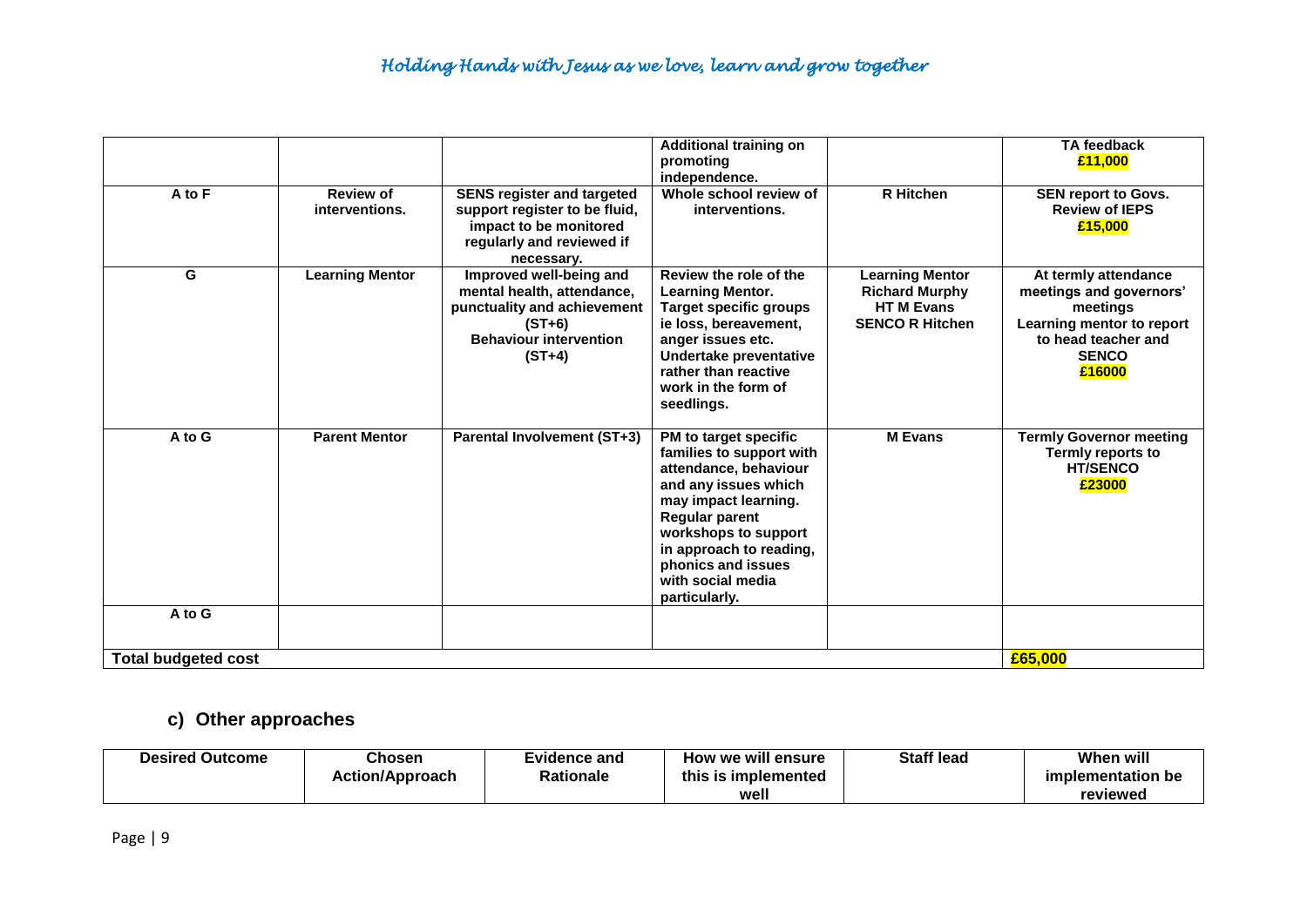|                            |                                    |                                                                                                                                               | <b>Additional training on</b>                                                                                                                                                                                                                                      |                                                                                               | <b>TA feedback</b>                                                                                                                        |
|----------------------------|------------------------------------|-----------------------------------------------------------------------------------------------------------------------------------------------|--------------------------------------------------------------------------------------------------------------------------------------------------------------------------------------------------------------------------------------------------------------------|-----------------------------------------------------------------------------------------------|-------------------------------------------------------------------------------------------------------------------------------------------|
|                            |                                    |                                                                                                                                               | promoting<br>independence.                                                                                                                                                                                                                                         |                                                                                               | £11,000                                                                                                                                   |
| A to F                     | <b>Review of</b><br>interventions. | <b>SENS register and targeted</b><br>support register to be fluid,<br>impact to be monitored<br>regularly and reviewed if<br>necessary.       | Whole school review of<br>interventions.                                                                                                                                                                                                                           | <b>R</b> Hitchen                                                                              | <b>SEN report to Govs.</b><br><b>Review of IEPS</b><br>£15,000                                                                            |
| G                          | <b>Learning Mentor</b>             | Improved well-being and<br>mental health, attendance,<br>punctuality and achievement<br>$(ST+6)$<br><b>Behaviour intervention</b><br>$(ST+4)$ | Review the role of the<br><b>Learning Mentor.</b><br><b>Target specific groups</b><br>ie loss, bereavement,<br>anger issues etc.<br>Undertake preventative<br>rather than reactive<br>work in the form of<br>seedlings.                                            | <b>Learning Mentor</b><br><b>Richard Murphy</b><br><b>HTM Evans</b><br><b>SENCO R Hitchen</b> | At termly attendance<br>meetings and governors'<br>meetings<br>Learning mentor to report<br>to head teacher and<br><b>SENCO</b><br>£16000 |
| A to G                     | <b>Parent Mentor</b>               | <b>Parental Involvement (ST+3)</b>                                                                                                            | PM to target specific<br>families to support with<br>attendance, behaviour<br>and any issues which<br>may impact learning.<br><b>Regular parent</b><br>workshops to support<br>in approach to reading,<br>phonics and issues<br>with social media<br>particularly. | <b>M</b> Evans                                                                                | <b>Termly Governor meeting</b><br>Termly reports to<br><b>HT/SENCO</b><br>£23000                                                          |
| A to G                     |                                    |                                                                                                                                               |                                                                                                                                                                                                                                                                    |                                                                                               |                                                                                                                                           |
| <b>Total budgeted cost</b> | £65,000                            |                                                                                                                                               |                                                                                                                                                                                                                                                                    |                                                                                               |                                                                                                                                           |

## **c) Other approaches**

| <b>Desired Outcome</b> | <b>Chosen</b><br><b>Action/Approach</b> | Evidence and<br>Rationale | How we will ensure<br>this is implemented<br>well | <b>Staff lead</b> | When will<br>implementation be<br>reviewed |
|------------------------|-----------------------------------------|---------------------------|---------------------------------------------------|-------------------|--------------------------------------------|
|                        |                                         |                           |                                                   |                   |                                            |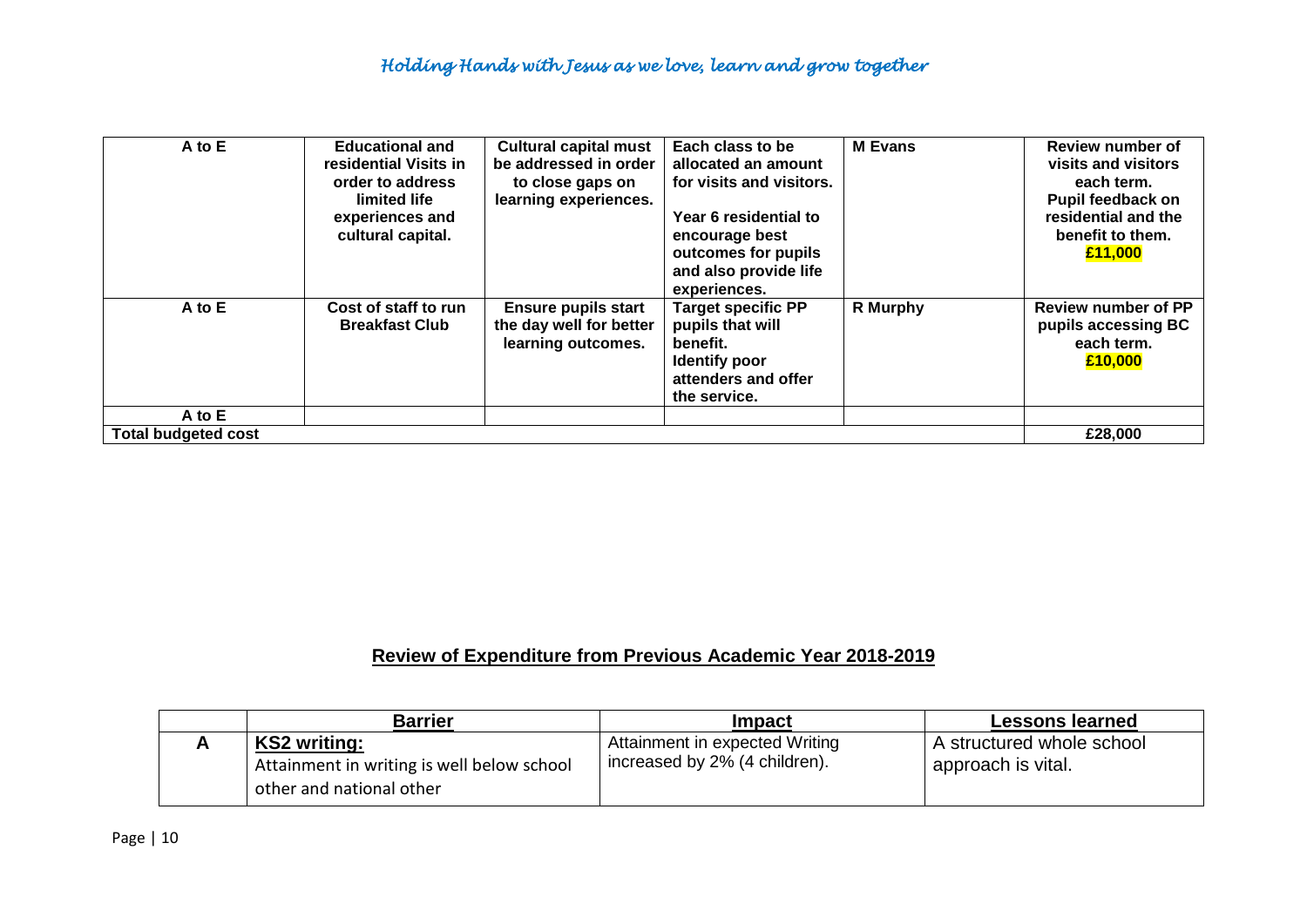| A to E                     | <b>Educational and</b><br>residential Visits in<br>order to address<br>limited life<br>experiences and<br>cultural capital. | <b>Cultural capital must</b><br>be addressed in order<br>to close gaps on<br>learning experiences. | Each class to be<br>allocated an amount<br>for visits and visitors.<br>Year 6 residential to<br>encourage best<br>outcomes for pupils<br>and also provide life<br>experiences. | <b>M</b> Evans | <b>Review number of</b><br>visits and visitors<br>each term.<br><b>Pupil feedback on</b><br>residential and the<br>benefit to them.<br>£11,000 |
|----------------------------|-----------------------------------------------------------------------------------------------------------------------------|----------------------------------------------------------------------------------------------------|--------------------------------------------------------------------------------------------------------------------------------------------------------------------------------|----------------|------------------------------------------------------------------------------------------------------------------------------------------------|
| A to E                     | Cost of staff to run<br><b>Breakfast Club</b>                                                                               | <b>Ensure pupils start</b><br>the day well for better<br>learning outcomes.                        | <b>Target specific PP</b><br>pupils that will<br>benefit.<br><b>Identify poor</b><br>attenders and offer<br>the service.                                                       | R Murphy       | <b>Review number of PP</b><br>pupils accessing BC<br>each term.<br>£10,000                                                                     |
| A to E                     |                                                                                                                             |                                                                                                    |                                                                                                                                                                                |                |                                                                                                                                                |
| <b>Total budgeted cost</b> |                                                                                                                             |                                                                                                    |                                                                                                                                                                                |                | £28,000                                                                                                                                        |

## **Review of Expenditure from Previous Academic Year 2018-2019**

| <b>Barrier</b>                                                                                | <b>Impact</b>                                                   | Lessons learned                                 |
|-----------------------------------------------------------------------------------------------|-----------------------------------------------------------------|-------------------------------------------------|
| <b>KS2 writing:</b><br>Attainment in writing is well below school<br>other and national other | Attainment in expected Writing<br>increased by 2% (4 children). | A structured whole school<br>approach is vital. |